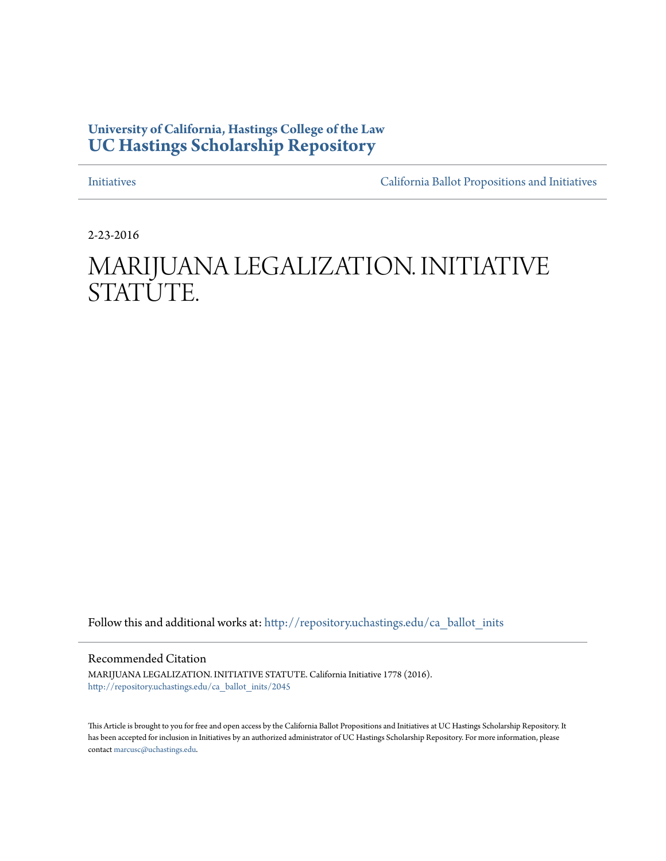# **University of California, Hastings College of the Law [UC Hastings Scholarship Repository](http://repository.uchastings.edu?utm_source=repository.uchastings.edu%2Fca_ballot_inits%2F2045&utm_medium=PDF&utm_campaign=PDFCoverPages)**

[Initiatives](http://repository.uchastings.edu/ca_ballot_inits?utm_source=repository.uchastings.edu%2Fca_ballot_inits%2F2045&utm_medium=PDF&utm_campaign=PDFCoverPages) [California Ballot Propositions and Initiatives](http://repository.uchastings.edu/ca_ballots?utm_source=repository.uchastings.edu%2Fca_ballot_inits%2F2045&utm_medium=PDF&utm_campaign=PDFCoverPages)

2-23-2016

# MARIJUANA LEGALIZATION. INITIATIVE STATUTE.

Follow this and additional works at: [http://repository.uchastings.edu/ca\\_ballot\\_inits](http://repository.uchastings.edu/ca_ballot_inits?utm_source=repository.uchastings.edu%2Fca_ballot_inits%2F2045&utm_medium=PDF&utm_campaign=PDFCoverPages)

Recommended Citation

MARIJUANA LEGALIZATION. INITIATIVE STATUTE. California Initiative 1778 (2016). [http://repository.uchastings.edu/ca\\_ballot\\_inits/2045](http://repository.uchastings.edu/ca_ballot_inits/2045?utm_source=repository.uchastings.edu%2Fca_ballot_inits%2F2045&utm_medium=PDF&utm_campaign=PDFCoverPages)

This Article is brought to you for free and open access by the California Ballot Propositions and Initiatives at UC Hastings Scholarship Repository. It has been accepted for inclusion in Initiatives by an authorized administrator of UC Hastings Scholarship Repository. For more information, please contact [marcusc@uchastings.edu](mailto:marcusc@uchastings.edu).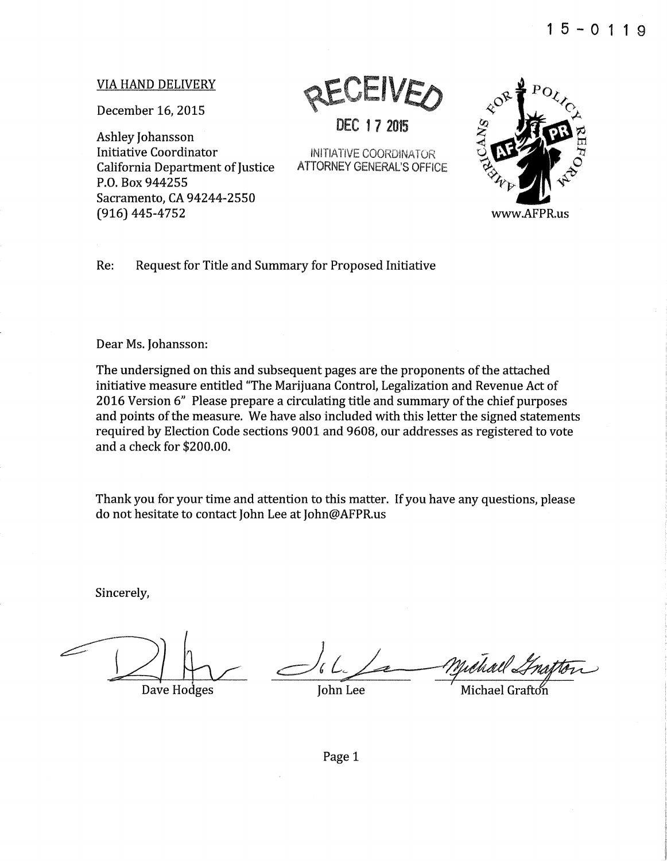## VIA HAND DELIVERY

December 16, 2015

Ashley Johansson Initiative Coordinator California Department of Justice P.O. Box 944255 Sacramento, CA 94244-2550 (916) 445-4752

**RECEIVEO** 

DEC 17 2015

INITIATIVE COORDINATOR ATTORNEY GENERAL'S OFFICE



Re: Request for Title and Summary for Proposed Initiative

### Dear Ms. Johansson:

The undersigned on this and subsequent pages are the proponents of the attached initiative measure entitled "The Marijuana Control, Legalization and Revenue Act of 2016 Version 6<sup>n</sup> Please prepare a circulating title and summary of the chief purposes and points of the measure. We have also included with this letter the signed statements required by Election Code sections 9001 and 9608, our addresses as registered to vote and a check for  $$200.00$ .

Thank you for your time and attention to this matter. If you have any questions, please do not hesitate to contact John Lee at John@AFPR.us

Sincerely,

y,<br>Dave Hodges John Lee Mychael Grafton

Page 1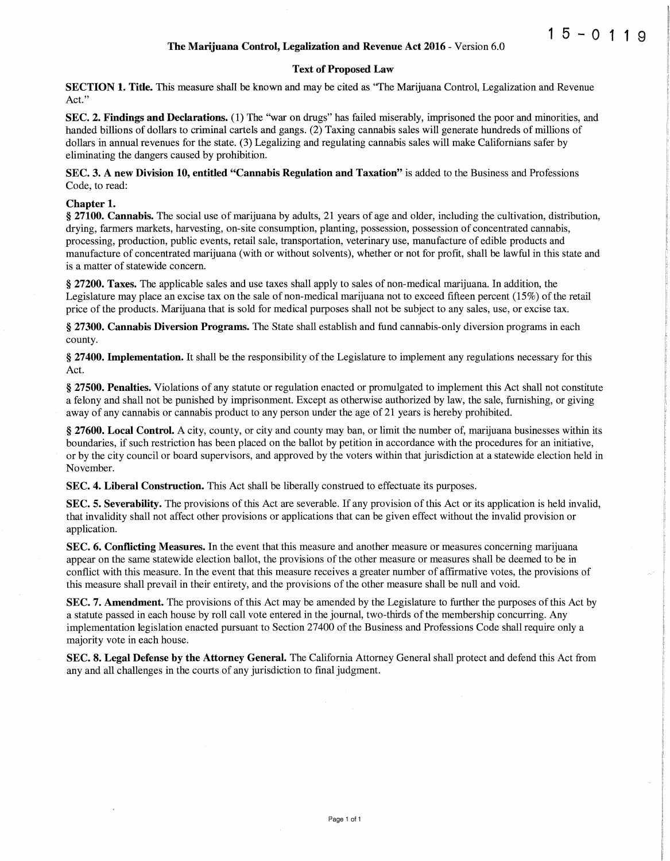#### Text of Proposed Law

SECTION 1. Title. This measure shall be known and may be cited as "The Marijuana Control, Legalization and Revenue Act."

SEC. 2. Findings and Declarations. (1) The ''war on drugs" has failed miserably, imprisoned the poor and minorities, and handed billions of dollars to criminal cartels and gangs. (2) Taxing cannabis sales will generate hundreds of millions of dollars in annual revenues for the state. (3) Legalizing and regulating cannabis sales will make Californians safer by eliminating the dangers caused by prohibition.

SEC. 3. A new Division 10, entitled "Cannabis Regulation and Taxation" is added to the Business and Professions Code, to read:

#### Chapter 1.

§ 27100. Cannabis. The social use of marijuana by adults, 21 years of age and older, including the cultivation, distribution, drying, farmers markets, harvesting, on-site consumption, planting, possession, possession of concentrated cannabis, processing, production, public events, retail sale, transportation, veterinary use, manufacture of edible products and manufacture of concentrated marijuana (with or without solvents), whether or not for profit, shall be lawful in this state and is a matter of statewide concern.

§ 27200. Taxes. The applicable sales and use taxes shall apply to sales of non-medical marijuana. In addition, the Legislature may place an excise tax on the sale of non-medical marijuana not to exceed fifteen percent (15%) of the retail price of the products. Marijuana that is sold for medical purposes shall not be subject to any sales, use, or excise tax.

§ 27300. Cannabis Diversion Programs. The State shall establish and fund cannabis-only diversion programs in each county.

§ 27 400. Implementation. It shall be the responsibility of the Legislature to implement any regulations necessary for this Act.

§ 27500. Penalties. Violations of any statute or regulation enacted or promulgated to implement this Act shall not constitute a felony and shall not be punished by imprisonment. Except as otherwise authorized by law, the sale, furnishing, or giving away of any cannabis or cannabis product to any person under the age of 21 years is hereby prohibited.

§ 27600. Local Control. A city, county, or city and county may ban, or limit the number of, marijuana businesses within its boundaries, if such restriction has been placed on the ballot by petition in accordance with the procedures for an initiative, or by the city council or board supervisors, and approved by the voters within that jurisdiction at a statewide election held in November.

SEC. 4. Liberal Construction. This Act shall be liberally construed to effectuate its purposes.

SEC. 5. Severability. The provisions of this Act are severable. If any provision of this Act or its application is held invalid, that invalidity shall not affect other provisions or applications that can be given effect without the invalid provision or application.

SEC. 6. Conflicting Measures. In the event that this measure and another measure or measures concerning marijuana appear on the same statewide election ballot, the provisions of the other measure or measures shall be deemed to be in conflict with this measure. In the event that this measure receives a greater number of affirmative votes, the provisions of this measure shall prevail in their entirety, and the provisions of the other measure shall be null and void.

SEC. 7. Amendment. The provisions of this Act may be amended by the Legislature to further the purposes of this Act by a statute passed in each house by roll call vote entered in the journal, two-thirds of the membership concurring. Any implementation legislation enacted pursuant to Section 27400 of the Business and Professions Code shall require only a majority vote in each house.

SEC. 8. Legal Defense by the Attorney General. The California Attorney General shall protect and defend this Act from any and all challenges in the courts of any jurisdiction to final judgment.